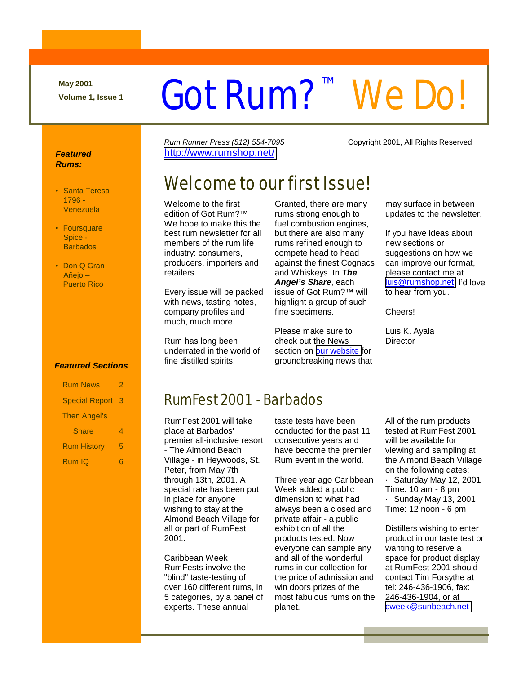**May 2001** 

# May 2001<br>Volume 1, Issue 1 **Cot Rum?**<sup>™</sup> We Do!

Rum Runner Press (512) 554-7095 Copyright 2001, All Rights Reserved

#### **Featured Rums:**

- Santa Teresa 1796 - Venezuela
- Foursquare Spice - **Barbados**
- Don Q Gran Añejo – Puerto Rico

<http://www.rumshop.net/>

# Welcome to our first Issue!

Welcome to the first edition of Got Rum?™ We hope to make this the best rum newsletter for all members of the rum life industry: consumers, producers, importers and retailers.

Every issue will be packed with news, tasting notes, company profiles and much, much more.

Rum has long been underrated in the world of fine distilled spirits.

Granted, there are many rums strong enough to fuel combustion engines, but there are also many rums refined enough to compete head to head against the finest Cognacs and Whiskeys. In **The Angel's Share**, each issue of Got Rum?™ will highlight a group of such fine specimens.

Please make sure to check out the News section on [our website f](http://www.rumshop.net/)or groundbreaking news that may surface in between updates to the newsletter.

If you have ideas about new sections or suggestions on how we can improve our format, please contact me at [luis@rumshop.net](mailto:luis@rumshop.net) I'd love to hear from you.

Cheers!

Luis K. Ayala **Director** 

#### **Featured Sections**

| <b>Rum News</b>       | 2 |
|-----------------------|---|
| <b>Special Report</b> | 3 |
| <b>Then Angel's</b>   |   |
| Share                 | Δ |
| <b>Rum History</b>    | 5 |
| Rum IQ                |   |

### RumFest 2001 - Barbados

RumFest 2001 will take place at Barbados' premier all-inclusive resort - The Almond Beach Village - in Heywoods, St. Peter, from May 7th through 13th, 2001. A special rate has been put in place for anyone wishing to stay at the Almond Beach Village for all or part of RumFest 2001.

Caribbean Week RumFests involve the "blind" taste-testing of over 160 different rums, in 5 categories, by a panel of experts. These annual

taste tests have been conducted for the past 11 consecutive years and have become the premier Rum event in the world.

Three year ago Caribbean Week added a public dimension to what had always been a closed and private affair - a public exhibition of all the products tested. Now everyone can sample any and all of the wonderful rums in our collection for the price of admission and win doors prizes of the most fabulous rums on the planet.

All of the rum products tested at RumFest 2001 will be available for viewing and sampling at the Almond Beach Village on the following dates: Saturday May 12, 2001 Time: 10 am - 8 pm · Sunday May 13, 2001 Time: 12 noon - 6 pm

Distillers wishing to enter product in our taste test or wanting to reserve a space for product display at RumFest 2001 should contact Tim Forsythe at tel: 246-436-1906, fax: 246-436-1904, or at [cweek@sunbeach.net](mailto:cweek@sunbeach.net)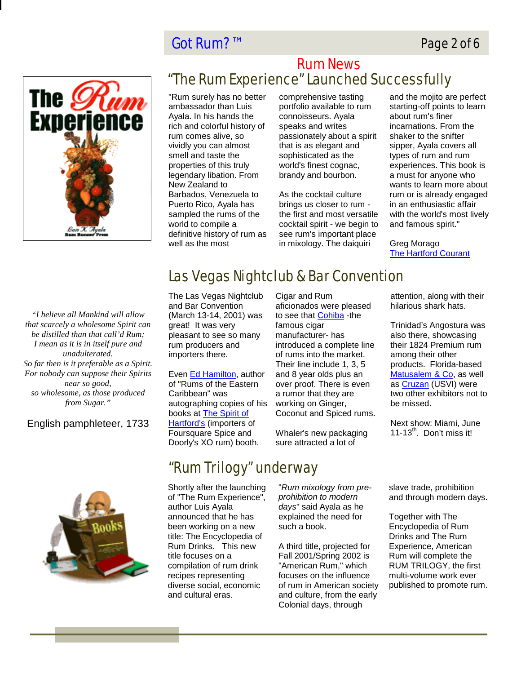#### Page 2 of 6

#### Got Rum?™



#### "The Rum Experience" Launched Successfully Rum News

"Rum surely has no better ambassador than Luis Ayala. In his hands the rich and colorful history of rum comes alive, so vividly you can almost smell and taste the properties of this truly legendary libation. From New Zealand to Barbados, Venezuela to Puerto Rico, Ayala has sampled the rums of the world to compile a definitive history of rum as well as the most

comprehensive tasting portfolio available to rum connoisseurs. Ayala speaks and writes passionately about a spirit that is as elegant and sophisticated as the world's finest cognac, brandy and bourbon.

As the cocktail culture brings us closer to rum the first and most versatile cocktail spirit - we begin to see rum's important place in mixology. The daiquiri

and the mojito are perfect starting-off points to learn about rum's finer incarnations. From the shaker to the snifter sipper, Ayala covers all types of rum and rum experiences. This book is a must for anyone who wants to learn more about rum or is already engaged in an enthusiastic affair with the world's most lively and famous spirit."

Greg Morago The Hartford Courant

*"I believe all Mankind will allow that scarcely a wholesome Spirit can be distilled than that call'd Rum; I mean as it is in itself pure and unadulterated. So far then is it preferable as a Spirit. For nobody can suppose their Spirits near so good, so wholesome, as those produced from Sugar."* 

#### English pamphleteer, 1733



# Las Vegas Nightclub & Bar Convention

The Las Vegas Nightclub and Bar Convention (March 13-14, 2001) was great! It was very pleasant to see so many rum producers and importers there.

Even Ed Hamilton, author of "Rums of the Eastern Caribbean" was autographing copies of his books at The Spirit of Hartford's (importers of Foursquare Spice and Doorly's XO rum) booth.

Cigar and Rum aficionados were pleased to see that Cohiba -the famous cigar manufacturer- has introduced a complete line of rums into the market. Their line include 1, 3, 5 and 8 year olds plus an over proof. There is even a rumor that they are working on Ginger, Coconut and Spiced rums.

Whaler's new packaging sure attracted a lot of

attention, along with their hilarious shark hats.

Trinidad's Angostura was also there, showcasing their 1824 Premium rum among their other products. Florida-based Matusalem & Co, as well as Cruzan (USVI) were two other exhibitors not to be missed.

Next show: Miami, June 11-13 $th$ . Don't miss it!

"Rum Trilogy" underway

Shortly after the launching of "The Rum Experience", author Luis Ayala announced that he has been working on a new title: The Encyclopedia of Rum Drinks. This new title focuses on a compilation of rum drink recipes representing diverse social, economic and cultural eras.

"Rum mixology from preprohibition to modern days" said Ayala as he explained the need for such a book.

A third title, projected for Fall 2001/Spring 2002 is "American Rum," which focuses on the influence of rum in American society and culture, from the early Colonial days, through

slave trade, prohibition and through modern days.

Together with The Encyclopedia of Rum Drinks and The Rum Experience, American Rum will complete the RUM TRILOGY, the first multi-volume work ever published to promote rum.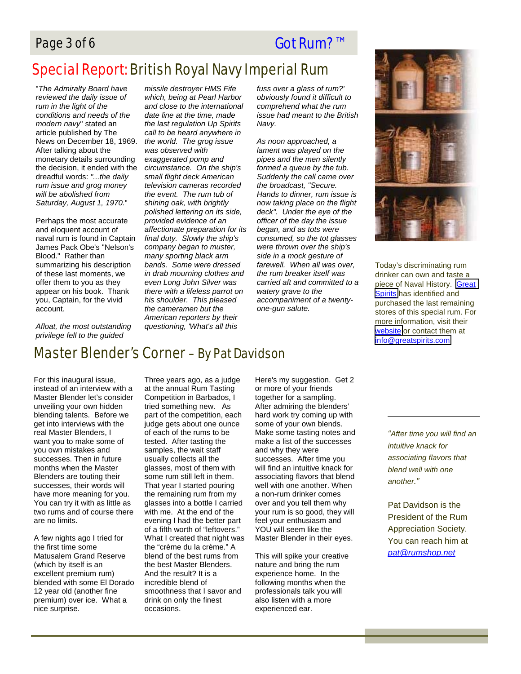#### Page 3 of 6 Got Rum?™

# Special Report: British Royal Navy Imperial Rum

"The Admiralty Board have reviewed the daily issue of rum in the light of the conditions and needs of the modern navy" stated an article published by The News on December 18, 1969. After talking about the monetary details surrounding the decision, it ended with the dreadful words: "...the daily rum issue and grog money will be abolished from Saturday, August 1, 1970."

Perhaps the most accurate and eloquent account of naval rum is found in Captain James Pack Obe's "Nelson's Blood." Rather than summarizing his description of these last moments, we offer them to you as they appear on his book. Thank you, Captain, for the vivid account.

Afloat, the most outstanding privilege fell to the guided

missile destroyer HMS Fife which, being at Pearl Harbor and close to the international date line at the time, made the last regulation Up Spirits call to be heard anywhere in the world. The grog issue was observed with exaggerated pomp and circumstance. On the ship's small flight deck American television cameras recorded the event. The rum tub of shining oak, with brightly polished lettering on its side, provided evidence of an affectionate preparation for its final duty. Slowly the ship's company began to muster, many sporting black arm bands. Some were dressed in drab mourning clothes and even Long John Silver was there with a lifeless parrot on his shoulder. This pleased the cameramen but the American reporters by their questioning, 'What's all this

fuss over a glass of rum?' obviously found it difficult to comprehend what the rum issue had meant to the British Navy.

As noon approached, a lament was played on the pipes and the men silently formed a queue by the tub. Suddenly the call came over the broadcast, "Secure. Hands to dinner, rum issue is now taking place on the flight deck". Under the eye of the officer of the day the issue began, and as tots were consumed, so the tot glasses were thrown over the ship's side in a mock gesture of farewell. When all was over, the rum breaker itself was carried aft and committed to a watery grave to the accompaniment of a twentyone-gun salute.



Today's discriminating rum drinker can own and taste a piece of Naval History. [Great](http://www.greatspirits.com/)  [Spirits](http://www.greatspirits.com/) has identified and purchased the last remaining stores of this special rum. For more information, visit their [website](http://www.greatspirits.com/) or contact them at [info@greatspirits.com](mailto:info@greatspirits.com)

### Master Blender's Corner – By Pat Davidson

For this inaugural issue, instead of an interview with a Master Blender let's consider unveiling your own hidden blending talents. Before we get into interviews with the real Master Blenders, I want you to make some of you own mistakes and successes. Then in future months when the Master Blenders are touting their successes, their words will have more meaning for you. You can try it with as little as two rums and of course there are no limits.

A few nights ago I tried for the first time some Matusalem Grand Reserve (which by itself is an excellent premium rum) blended with some El Dorado 12 year old (another fine premium) over ice. What a nice surprise.

Three years ago, as a judge at the annual Rum Tasting Competition in Barbados, I tried something new. As part of the competition, each judge gets about one ounce of each of the rums to be tested. After tasting the samples, the wait staff usually collects all the glasses, most of them with some rum still left in them. That year I started pouring the remaining rum from my glasses into a bottle I carried with me. At the end of the evening I had the better part of a fifth worth of "leftovers." What I created that night was the "crème du la crème." A blend of the best rums from the best Master Blenders. And the result? It is a incredible blend of smoothness that I savor and drink on only the finest occasions.

Here's my suggestion. Get 2 or more of your friends together for a sampling. After admiring the blenders' hard work try coming up with some of your own blends. Make some tasting notes and make a list of the successes and why they were successes. After time you will find an intuitive knack for associating flavors that blend well with one another. When a non-rum drinker comes over and you tell them why your rum is so good, they will feel your enthusiasm and YOU will seem like the Master Blender in their eyes.

This will spike your creative nature and bring the rum experience home. In the following months when the professionals talk you will also listen with a more experienced ear.

"After time you will find an intuitive knack for associating flavors that blend well with one another."

Pat Davidson is the President of the Rum Appreciation Society. You can reach him at pat@rumshop.net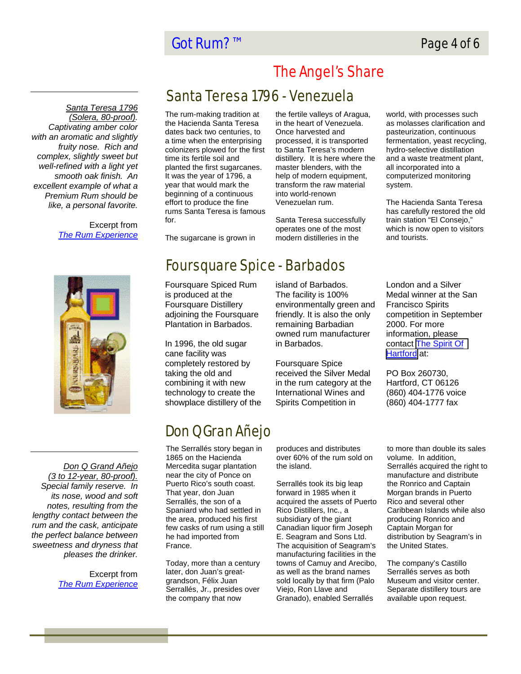#### Got Rum?™ Page 4 of 6

Santa Teresa 1796 (Solera, 80-proof). Captivating amber color with an aromatic and slightly fruity nose. Rich and complex, slightly sweet but well-refined with a light yet smooth oak finish. An excellent example of what a Premium Rum should be like, a personal favorite.

> Excerpt from The Rum Experience

# The Angel's Share

#### Santa Teresa 1796 - Venezuela

The rum-making tradition at the Hacienda Santa Teresa dates back two centuries, to a time when the enterprising colonizers plowed for the first time its fertile soil and planted the first sugarcanes. It was the year of 1796, a year that would mark the beginning of a continuous effort to produce the fine rums Santa Teresa is famous for.

The sugarcane is grown in

the fertile valleys of Aragua, in the heart of Venezuela. Once harvested and processed, it is transported to Santa Teresa's modern distillery. It is here where the master blenders, with the help of modern equipment, transform the raw material into world-renown Venezuelan rum.

Santa Teresa successfully operates one of the most modern distilleries in the

world, with processes such as molasses clarification and pasteurization, continuous fermentation, yeast recycling, hydro-selective distillation and a waste treatment plant, all incorporated into a computerized monitoring system.

The Hacienda Santa Teresa has carefully restored the old train station "El Consejo," which is now open to visitors and tourists.



Don Q Grand Añejo (3 to 12-year, 80-proof). Special family reserve. In its nose, wood and soft notes, resulting from the lengthy contact between the rum and the cask, anticipate the perfect balance between sweetness and dryness that pleases the drinker.

> Excerpt from The Rum Experience

# Foursquare Spice - Barbados

Foursquare Spiced Rum is produced at the Foursquare Distillery adjoining the Foursquare Plantation in Barbados.

In 1996, the old sugar cane facility was completely restored by taking the old and combining it with new technology to create the showplace distillery of the island of Barbados. The facility is 100% environmentally green and friendly. It is also the only remaining Barbadian owned rum manufacturer in Barbados.

Foursquare Spice received the Silver Medal in the rum category at the International Wines and Spirits Competition in

# Don Q Gran Añejo

The Serrallés story began in 1865 on the Hacienda Mercedita sugar plantation near the city of Ponce on Puerto Rico's south coast. That year, don Juan Serrallés, the son of a Spaniard who had settled in the area, produced his first few casks of rum using a still he had imported from France.

Today, more than a century later, don Juan's greatgrandson, Félix Juan Serrallés, Jr., presides over the company that now

produces and distributes over 60% of the rum sold on the island.

Serrallés took its big leap forward in 1985 when it acquired the assets of Puerto Rico Distillers, Inc., a subsidiary of the giant Canadian liquor firm Joseph E. Seagram and Sons Ltd. The acquisition of Seagram's manufacturing facilities in the towns of Camuy and Arecibo, as well as the brand names sold locally by that firm (Palo Viejo, Ron Llave and Granado), enabled Serrallés

London and a Silver Medal winner at the San Francisco Spirits competition in September 2000. For more information, please contact [The Spirit Of](http://www.spiritofhartford.com/)  [Hartford](http://www.spiritofhartford.com/) at:

PO Box 260730, Hartford, CT 06126 (860) 404-1776 voice (860) 404-1777 fax

to more than double its sales volume. In addition, Serrallés acquired the right to manufacture and distribute the Ronrico and Captain Morgan brands in Puerto Rico and several other Caribbean Islands while also producing Ronrico and Captain Morgan for distribution by Seagram's in the United States.

The company's Castillo Serrallés serves as both Museum and visitor center. Separate distillery tours are available upon request.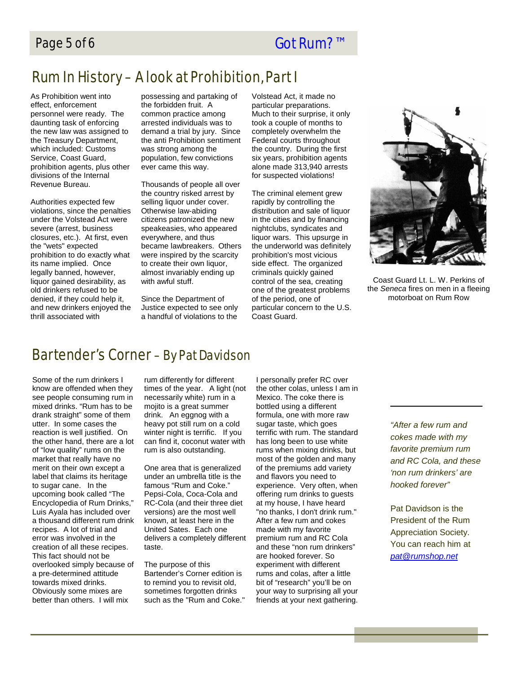# Rum In History – A look at Prohibition, Part I

As Prohibition went into effect, enforcement personnel were ready. The daunting task of enforcing the new law was assigned to the Treasury Department, which included: Customs Service, Coast Guard, prohibition agents, plus other divisions of the Internal Revenue Bureau.

Authorities expected few violations, since the penalties under the Volstead Act were severe (arrest, business closures, etc.). At first, even the "wets" expected prohibition to do exactly what its name implied. Once legally banned, however, liquor gained desirability, as old drinkers refused to be denied, if they could help it, and new drinkers enjoyed the thrill associated with

possessing and partaking of the forbidden fruit. A common practice among arrested individuals was to demand a trial by jury. Since the anti Prohibition sentiment was strong among the population, few convictions ever came this way.

Thousands of people all over the country risked arrest by selling liquor under cover. Otherwise law-abiding citizens patronized the new speakeasies, who appeared everywhere, and thus became lawbreakers. Others were inspired by the scarcity to create their own liquor, almost invariably ending up with awful stuff.

Since the Department of Justice expected to see only a handful of violations to the

Volstead Act, it made no particular preparations. Much to their surprise, it only took a couple of months to completely overwhelm the Federal courts throughout the country. During the first six years, prohibition agents alone made 313,940 arrests for suspected violations!

The criminal element grew rapidly by controlling the distribution and sale of liquor in the cities and by financing nightclubs, syndicates and liquor wars. This upsurge in the underworld was definitely prohibition's most vicious side effect. The organized criminals quickly gained control of the sea, creating one of the greatest problems of the period, one of particular concern to the U.S. Coast Guard.



Coast Guard Lt. L. W. Perkins of the Seneca fires on men in a fleeing motorboat on Rum Row

#### Bartender's Corner – By Pat Davidson

Some of the rum drinkers I know are offended when they see people consuming rum in mixed drinks. "Rum has to be drank straight" some of them utter. In some cases the reaction is well justified. On the other hand, there are a lot of "low quality" rums on the market that really have no merit on their own except a label that claims its heritage to sugar cane. In the upcoming book called "The Encyclopedia of Rum Drinks," Luis Ayala has included over a thousand different rum drink recipes. A lot of trial and error was involved in the creation of all these recipes. This fact should not be overlooked simply because of a pre-determined attitude towards mixed drinks. Obviously some mixes are better than others. I will mix

rum differently for different times of the year. A light (not necessarily white) rum in a mojito is a great summer drink. An eggnog with a heavy pot still rum on a cold winter night is terrific. If you can find it, coconut water with rum is also outstanding.

One area that is generalized under an umbrella title is the famous "Rum and Coke." Pepsi-Cola, Coca-Cola and RC-Cola (and their three diet versions) are the most well known, at least here in the United Sates. Each one delivers a completely different taste.

The purpose of this Bartender's Corner edition is to remind you to revisit old, sometimes forgotten drinks such as the "Rum and Coke."

I personally prefer RC over the other colas, unless I am in Mexico. The coke there is bottled using a different formula, one with more raw sugar taste, which goes terrific with rum. The standard has long been to use white rums when mixing drinks, but most of the golden and many of the premiums add variety and flavors you need to experience. Very often, when offering rum drinks to guests at my house, I have heard "no thanks, I don't drink rum." After a few rum and cokes made with my favorite premium rum and RC Cola and these "non rum drinkers" are hooked forever. So experiment with different rums and colas, after a little bit of "research" you'll be on your way to surprising all your friends at your next gathering.

"After a few rum and cokes made with my favorite premium rum and RC Cola, and these 'non rum drinkers' are hooked forever"

Pat Davidson is the President of the Rum Appreciation Society. You can reach him at pat@rumshop.net